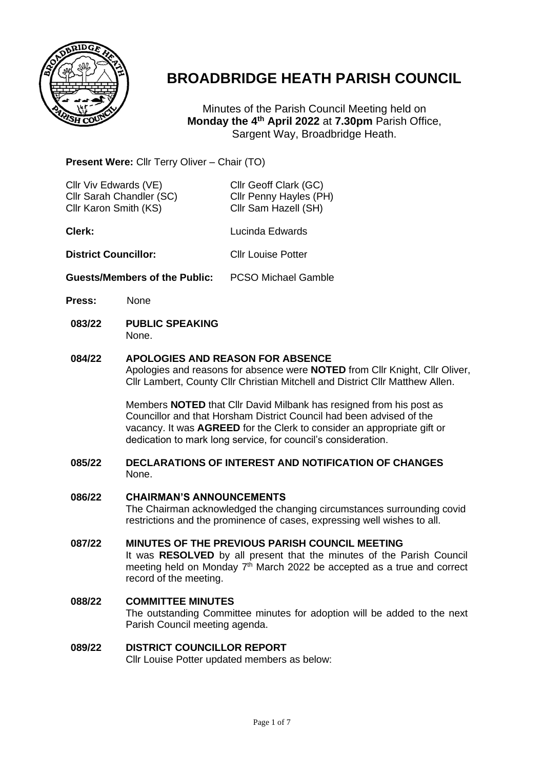

# **BROADBRIDGE HEATH PARISH COUNCIL**

Minutes of the Parish Council Meeting held on **Monday the 4 th April 2022** at **7.30pm** Parish Office, Sargent Way, Broadbridge Heath.

## **Present Were:** Cllr Terry Oliver – Chair (TO)

| Cllr Viv Edwards (VE)<br>Cllr Sarah Chandler (SC)<br>Cllr Karon Smith (KS) |      | Cllr Geoff Clark (GC)<br>Cllr Penny Hayles (PH)<br>Cllr Sam Hazell (SH) |  |
|----------------------------------------------------------------------------|------|-------------------------------------------------------------------------|--|
| Clerk:                                                                     |      | Lucinda Edwards                                                         |  |
| <b>District Councillor:</b>                                                |      | <b>Cllr Louise Potter</b>                                               |  |
| <b>Guests/Members of the Public:</b>                                       |      | PCSO Michael Gamble                                                     |  |
| <b>Press:</b>                                                              | None |                                                                         |  |

**083/22 PUBLIC SPEAKING** None.

## **084/22 APOLOGIES AND REASON FOR ABSENCE**

Apologies and reasons for absence were **NOTED** from Cllr Knight, Cllr Oliver, Cllr Lambert, County Cllr Christian Mitchell and District Cllr Matthew Allen.

Members **NOTED** that Cllr David Milbank has resigned from his post as Councillor and that Horsham District Council had been advised of the vacancy. It was **AGREED** for the Clerk to consider an appropriate gift or dedication to mark long service, for council's consideration.

**085/22 DECLARATIONS OF INTEREST AND NOTIFICATION OF CHANGES** None.

### **086/22 CHAIRMAN'S ANNOUNCEMENTS** The Chairman acknowledged the changing circumstances surrounding covid restrictions and the prominence of cases, expressing well wishes to all.

### **087/22 MINUTES OF THE PREVIOUS PARISH COUNCIL MEETING**  It was **RESOLVED** by all present that the minutes of the Parish Council meeting held on Monday 7<sup>th</sup> March 2022 be accepted as a true and correct record of the meeting.

### **088/22 COMMITTEE MINUTES** The outstanding Committee minutes for adoption will be added to the next Parish Council meeting agenda.

#### **089/22 DISTRICT COUNCILLOR REPORT**

Cllr Louise Potter updated members as below: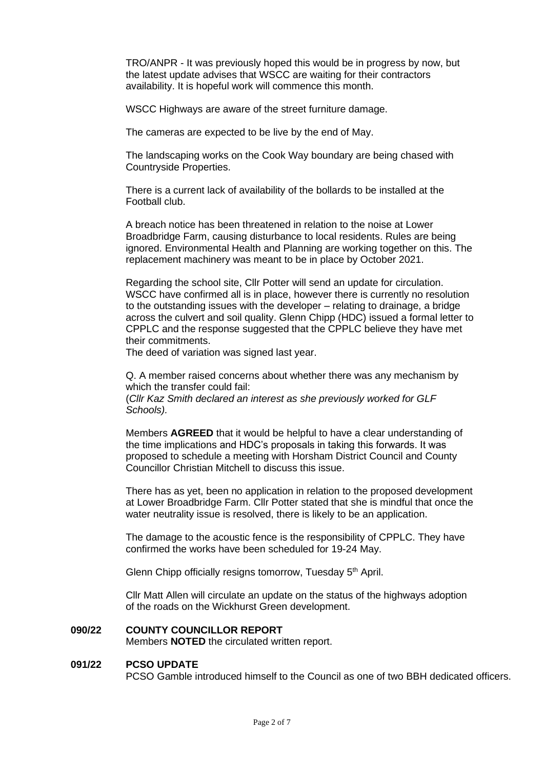TRO/ANPR - It was previously hoped this would be in progress by now, but the latest update advises that WSCC are waiting for their contractors availability. It is hopeful work will commence this month.

WSCC Highways are aware of the street furniture damage.

The cameras are expected to be live by the end of May.

The landscaping works on the Cook Way boundary are being chased with Countryside Properties.

There is a current lack of availability of the bollards to be installed at the Football club.

A breach notice has been threatened in relation to the noise at Lower Broadbridge Farm, causing disturbance to local residents. Rules are being ignored. Environmental Health and Planning are working together on this. The replacement machinery was meant to be in place by October 2021.

Regarding the school site, Cllr Potter will send an update for circulation. WSCC have confirmed all is in place, however there is currently no resolution to the outstanding issues with the developer – relating to drainage, a bridge across the culvert and soil quality. Glenn Chipp (HDC) issued a formal letter to CPPLC and the response suggested that the CPPLC believe they have met their commitments.

The deed of variation was signed last year.

Q. A member raised concerns about whether there was any mechanism by which the transfer could fail: (*Cllr Kaz Smith declared an interest as she previously worked for GLF Schools).*

Members **AGREED** that it would be helpful to have a clear understanding of the time implications and HDC's proposals in taking this forwards. It was proposed to schedule a meeting with Horsham District Council and County Councillor Christian Mitchell to discuss this issue.

There has as yet, been no application in relation to the proposed development at Lower Broadbridge Farm. Cllr Potter stated that she is mindful that once the water neutrality issue is resolved, there is likely to be an application.

The damage to the acoustic fence is the responsibility of CPPLC. They have confirmed the works have been scheduled for 19-24 May.

Glenn Chipp officially resigns tomorrow, Tuesday 5<sup>th</sup> April.

Cllr Matt Allen will circulate an update on the status of the highways adoption of the roads on the Wickhurst Green development.

#### **090/22 COUNTY COUNCILLOR REPORT**

Members **NOTED** the circulated written report.

#### **091/22 PCSO UPDATE**

PCSO Gamble introduced himself to the Council as one of two BBH dedicated officers.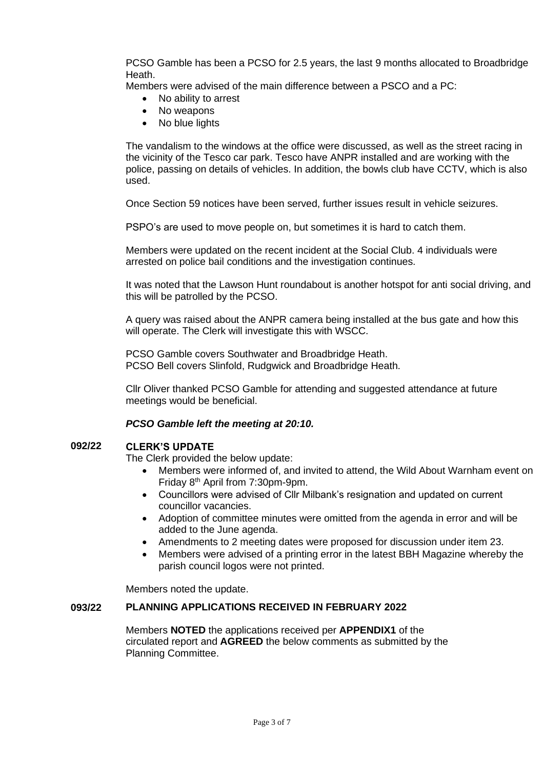PCSO Gamble has been a PCSO for 2.5 years, the last 9 months allocated to Broadbridge Heath.

Members were advised of the main difference between a PSCO and a PC:

- No ability to arrest
- No weapons
- No blue lights

The vandalism to the windows at the office were discussed, as well as the street racing in the vicinity of the Tesco car park. Tesco have ANPR installed and are working with the police, passing on details of vehicles. In addition, the bowls club have CCTV, which is also used.

Once Section 59 notices have been served, further issues result in vehicle seizures.

PSPO's are used to move people on, but sometimes it is hard to catch them.

Members were updated on the recent incident at the Social Club. 4 individuals were arrested on police bail conditions and the investigation continues.

It was noted that the Lawson Hunt roundabout is another hotspot for anti social driving, and this will be patrolled by the PCSO.

A query was raised about the ANPR camera being installed at the bus gate and how this will operate. The Clerk will investigate this with WSCC.

PCSO Gamble covers Southwater and Broadbridge Heath. PCSO Bell covers Slinfold, Rudgwick and Broadbridge Heath.

Cllr Oliver thanked PCSO Gamble for attending and suggested attendance at future meetings would be beneficial.

## *PCSO Gamble left the meeting at 20:10.*

#### **092/22 CLERK'S UPDATE**

The Clerk provided the below update:

- Members were informed of, and invited to attend, the Wild About Warnham event on Friday 8th April from 7:30pm-9pm.
- Councillors were advised of Cllr Milbank's resignation and updated on current councillor vacancies.
- Adoption of committee minutes were omitted from the agenda in error and will be added to the June agenda.
- Amendments to 2 meeting dates were proposed for discussion under item 23.
- Members were advised of a printing error in the latest BBH Magazine whereby the parish council logos were not printed.

Members noted the update.

#### **093/22 PLANNING APPLICATIONS RECEIVED IN FEBRUARY 2022**

Members **NOTED** the applications received per **APPENDIX1** of the circulated report and **AGREED** the below comments as submitted by the Planning Committee.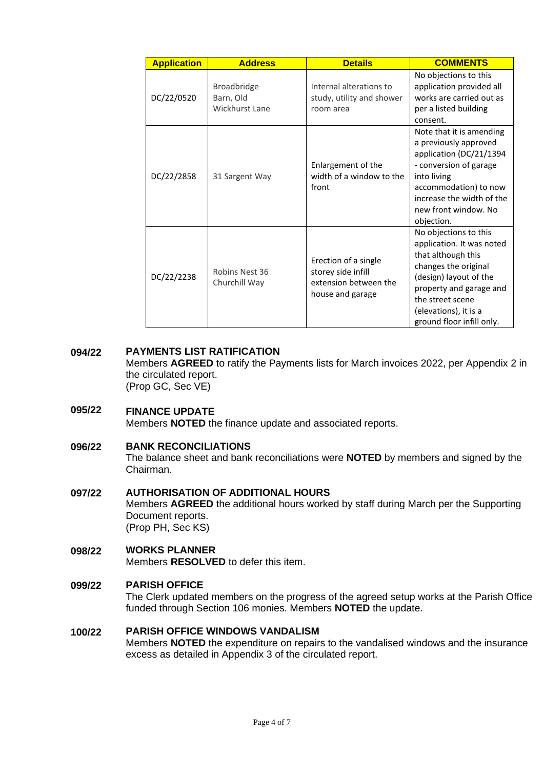| <b>Application</b> | <b>Address</b>                                    | <b>Details</b>                                                                          | <b>COMMENTS</b>                                                                                                                                                                                                                 |
|--------------------|---------------------------------------------------|-----------------------------------------------------------------------------------------|---------------------------------------------------------------------------------------------------------------------------------------------------------------------------------------------------------------------------------|
| DC/22/0520         | <b>Broadbridge</b><br>Barn, Old<br>Wickhurst Lane | Internal alterations to<br>study, utility and shower<br>room area                       | No objections to this<br>application provided all<br>works are carried out as<br>per a listed building<br>consent.                                                                                                              |
| DC/22/2858         | 31 Sargent Way                                    | Enlargement of the<br>width of a window to the<br>front                                 | Note that it is amending<br>a previously approved<br>application (DC/21/1394<br>- conversion of garage<br>into living<br>accommodation) to now<br>increase the width of the<br>new front window. No<br>objection.               |
| DC/22/2238         | Robins Nest 36<br>Churchill Way                   | Erection of a single<br>storey side infill<br>extension between the<br>house and garage | No objections to this<br>application. It was noted<br>that although this<br>changes the original<br>(design) layout of the<br>property and garage and<br>the street scene<br>(elevations), it is a<br>ground floor infill only. |

#### **094/22 PAYMENTS LIST RATIFICATION**

Members **AGREED** to ratify the Payments lists for March invoices 2022, per Appendix 2 in the circulated report. (Prop GC, Sec VE)

**095/22 FINANCE UPDATE** Members **NOTED** the finance update and associated reports.

#### **096/22 BANK RECONCILIATIONS**

The balance sheet and bank reconciliations were **NOTED** by members and signed by the Chairman.

**097/22 AUTHORISATION OF ADDITIONAL HOURS** Members **AGREED** the additional hours worked by staff during March per the Supporting Document reports.

(Prop PH, Sec KS)

#### **098/22 WORKS PLANNER**

Members **RESOLVED** to defer this item.

#### **099/22 PARISH OFFICE**

The Clerk updated members on the progress of the agreed setup works at the Parish Office funded through Section 106 monies. Members **NOTED** the update.

#### **100/22 PARISH OFFICE WINDOWS VANDALISM**

Members **NOTED** the expenditure on repairs to the vandalised windows and the insurance excess as detailed in Appendix 3 of the circulated report.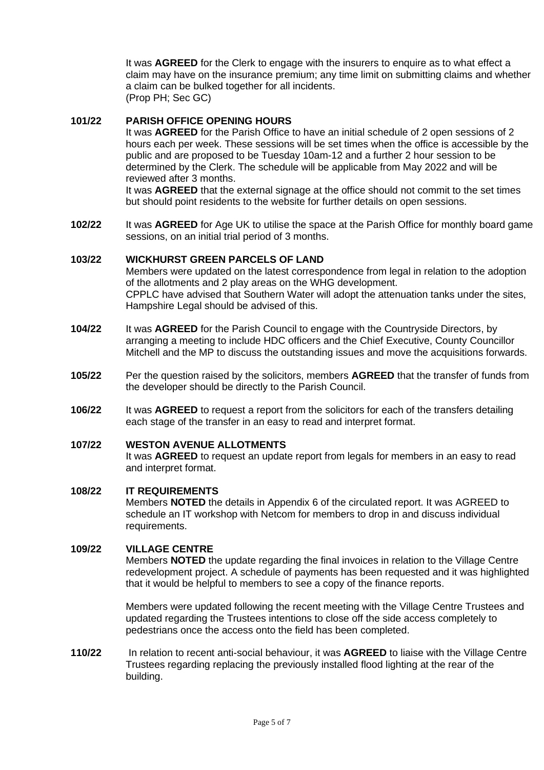It was **AGREED** for the Clerk to engage with the insurers to enquire as to what effect a claim may have on the insurance premium; any time limit on submitting claims and whether a claim can be bulked together for all incidents. (Prop PH; Sec GC)

#### **101/22 PARISH OFFICE OPENING HOURS**

It was **AGREED** for the Parish Office to have an initial schedule of 2 open sessions of 2 hours each per week. These sessions will be set times when the office is accessible by the public and are proposed to be Tuesday 10am-12 and a further 2 hour session to be determined by the Clerk. The schedule will be applicable from May 2022 and will be reviewed after 3 months.

It was **AGREED** that the external signage at the office should not commit to the set times but should point residents to the website for further details on open sessions.

**102/22** It was **AGREED** for Age UK to utilise the space at the Parish Office for monthly board game sessions, on an initial trial period of 3 months.

#### **103/22 WICKHURST GREEN PARCELS OF LAND**

Members were updated on the latest correspondence from legal in relation to the adoption of the allotments and 2 play areas on the WHG development. CPPLC have advised that Southern Water will adopt the attenuation tanks under the sites, Hampshire Legal should be advised of this.

- **104/22** It was **AGREED** for the Parish Council to engage with the Countryside Directors, by arranging a meeting to include HDC officers and the Chief Executive, County Councillor Mitchell and the MP to discuss the outstanding issues and move the acquisitions forwards.
- **105/22** Per the question raised by the solicitors, members **AGREED** that the transfer of funds from the developer should be directly to the Parish Council.
- **106/22** It was **AGREED** to request a report from the solicitors for each of the transfers detailing each stage of the transfer in an easy to read and interpret format.

#### **107/22 WESTON AVENUE ALLOTMENTS**

It was **AGREED** to request an update report from legals for members in an easy to read and interpret format.

#### **108/22 IT REQUIREMENTS**

Members **NOTED** the details in Appendix 6 of the circulated report. It was AGREED to schedule an IT workshop with Netcom for members to drop in and discuss individual requirements.

#### **109/22 VILLAGE CENTRE**

Members **NOTED** the update regarding the final invoices in relation to the Village Centre redevelopment project. A schedule of payments has been requested and it was highlighted that it would be helpful to members to see a copy of the finance reports.

Members were updated following the recent meeting with the Village Centre Trustees and updated regarding the Trustees intentions to close off the side access completely to pedestrians once the access onto the field has been completed.

**110/22** In relation to recent anti-social behaviour, it was **AGREED** to liaise with the Village Centre Trustees regarding replacing the previously installed flood lighting at the rear of the building.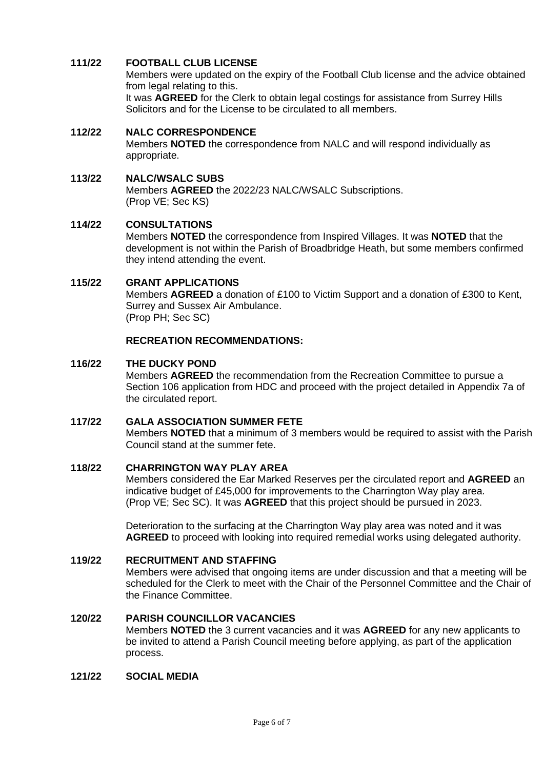#### **111/22 FOOTBALL CLUB LICENSE**

Members were updated on the expiry of the Football Club license and the advice obtained from legal relating to this. It was **AGREED** for the Clerk to obtain legal costings for assistance from Surrey Hills Solicitors and for the License to be circulated to all members.

#### **112/22 NALC CORRESPONDENCE**

Members **NOTED** the correspondence from NALC and will respond individually as appropriate.

#### **113/22 NALC/WSALC SUBS**

Members **AGREED** the 2022/23 NALC/WSALC Subscriptions. (Prop VE; Sec KS)

#### **114/22 CONSULTATIONS**

Members **NOTED** the correspondence from Inspired Villages. It was **NOTED** that the development is not within the Parish of Broadbridge Heath, but some members confirmed they intend attending the event.

#### **115/22 GRANT APPLICATIONS**

Members **AGREED** a donation of £100 to Victim Support and a donation of £300 to Kent, Surrey and Sussex Air Ambulance. (Prop PH; Sec SC)

### **RECREATION RECOMMENDATIONS:**

#### **116/22 THE DUCKY POND**

Members **AGREED** the recommendation from the Recreation Committee to pursue a Section 106 application from HDC and proceed with the project detailed in Appendix 7a of the circulated report.

#### **117/22 GALA ASSOCIATION SUMMER FETE**

Members **NOTED** that a minimum of 3 members would be required to assist with the Parish Council stand at the summer fete.

#### **118/22 CHARRINGTON WAY PLAY AREA**

Members considered the Ear Marked Reserves per the circulated report and **AGREED** an indicative budget of £45,000 for improvements to the Charrington Way play area. (Prop VE; Sec SC). It was **AGREED** that this project should be pursued in 2023.

Deterioration to the surfacing at the Charrington Way play area was noted and it was **AGREED** to proceed with looking into required remedial works using delegated authority.

#### **119/22 RECRUITMENT AND STAFFING**

Members were advised that ongoing items are under discussion and that a meeting will be scheduled for the Clerk to meet with the Chair of the Personnel Committee and the Chair of the Finance Committee.

#### **120/22 PARISH COUNCILLOR VACANCIES**

Members **NOTED** the 3 current vacancies and it was **AGREED** for any new applicants to be invited to attend a Parish Council meeting before applying, as part of the application process.

#### **121/22 SOCIAL MEDIA**